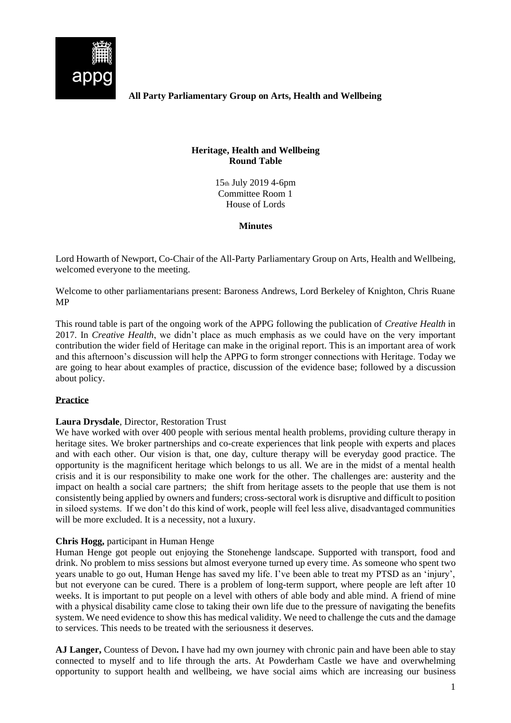

**All Party Parliamentary Group on Arts, Health and Wellbeing**

## **Heritage, Health and Wellbeing Round Table**

15th July 2019 4-6pm Committee Room 1 House of Lords

**Minutes**

Lord Howarth of Newport, Co-Chair of the All-Party Parliamentary Group on Arts, Health and Wellbeing, welcomed everyone to the meeting.

Welcome to other parliamentarians present: Baroness Andrews, Lord Berkeley of Knighton, Chris Ruane MP

This round table is part of the ongoing work of the APPG following the publication of *Creative Health* in 2017. In *Creative Health*, we didn't place as much emphasis as we could have on the very important contribution the wider field of Heritage can make in the original report. This is an important area of work and this afternoon's discussion will help the APPG to form stronger connections with Heritage. Today we are going to hear about examples of practice, discussion of the evidence base; followed by a discussion about policy.

# **Practice**

## **Laura Drysdale**, Director, Restoration Trust

We have worked with over 400 people with serious mental health problems, providing culture therapy in heritage sites. We broker partnerships and co-create experiences that link people with experts and places and with each other. Our vision is that, one day, culture therapy will be everyday good practice. The opportunity is the magnificent heritage which belongs to us all. We are in the midst of a mental health crisis and it is our responsibility to make one work for the other. The challenges are: austerity and the impact on health a social care partners; the shift from heritage assets to the people that use them is not consistently being applied by owners and funders; cross-sectoral work is disruptive and difficult to position in siloed systems. If we don't do this kind of work, people will feel less alive, disadvantaged communities will be more excluded. It is a necessity, not a luxury.

## **Chris Hogg,** participant in Human Henge

Human Henge got people out enjoying the Stonehenge landscape. Supported with transport, food and drink. No problem to miss sessions but almost everyone turned up every time. As someone who spent two years unable to go out, Human Henge has saved my life. I've been able to treat my PTSD as an 'injury', but not everyone can be cured. There is a problem of long-term support, where people are left after 10 weeks. It is important to put people on a level with others of able body and able mind. A friend of mine with a physical disability came close to taking their own life due to the pressure of navigating the benefits system. We need evidence to show this has medical validity. We need to challenge the cuts and the damage to services. This needs to be treated with the seriousness it deserves.

**AJ Langer,** Countess of Devon**.** I have had my own journey with chronic pain and have been able to stay connected to myself and to life through the arts. At Powderham Castle we have and overwhelming opportunity to support health and wellbeing, we have social aims which are increasing our business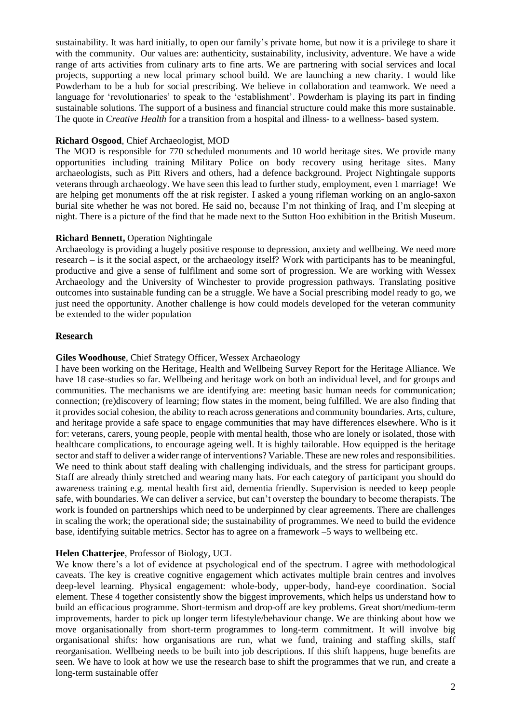sustainability. It was hard initially, to open our family's private home, but now it is a privilege to share it with the community. Our values are: authenticity, sustainability, inclusivity, adventure. We have a wide range of arts activities from culinary arts to fine arts. We are partnering with social services and local projects, supporting a new local primary school build. We are launching a new charity. I would like Powderham to be a hub for social prescribing. We believe in collaboration and teamwork. We need a language for 'revolutionaries' to speak to the 'establishment'. Powderham is playing its part in finding sustainable solutions. The support of a business and financial structure could make this more sustainable. The quote in *Creative Health* for a transition from a hospital and illness- to a wellness- based system.

### **Richard Osgood**, Chief Archaeologist, MOD

The MOD is responsible for 770 scheduled monuments and 10 world heritage sites. We provide many opportunities including training Military Police on body recovery using heritage sites. Many archaeologists, such as Pitt Rivers and others, had a defence background. Project Nightingale supports veterans through archaeology. We have seen this lead to further study, employment, even 1 marriage! We are helping get monuments off the at risk register. I asked a young rifleman working on an anglo-saxon burial site whether he was not bored. He said no, because I'm not thinking of Iraq, and I'm sleeping at night. There is a picture of the find that he made next to the Sutton Hoo exhibition in the British Museum.

#### **Richard Bennett,** Operation Nightingale

Archaeology is providing a hugely positive response to depression, anxiety and wellbeing. We need more research – is it the social aspect, or the archaeology itself? Work with participants has to be meaningful, productive and give a sense of fulfilment and some sort of progression. We are working with Wessex Archaeology and the University of Winchester to provide progression pathways. Translating positive outcomes into sustainable funding can be a struggle. We have a Social prescribing model ready to go, we just need the opportunity. Another challenge is how could models developed for the veteran community be extended to the wider population

#### **Research**

#### **Giles Woodhouse**, Chief Strategy Officer, Wessex Archaeology

I have been working on the Heritage, Health and Wellbeing Survey Report for the Heritage Alliance. We have 18 case-studies so far. Wellbeing and heritage work on both an individual level, and for groups and communities. The mechanisms we are identifying are: meeting basic human needs for communication; connection; (re)discovery of learning; flow states in the moment, being fulfilled. We are also finding that it provides social cohesion, the ability to reach across generations and community boundaries. Arts, culture, and heritage provide a safe space to engage communities that may have differences elsewhere. Who is it for: veterans, carers, young people, people with mental health, those who are lonely or isolated, those with healthcare complications, to encourage ageing well. It is highly tailorable. How equipped is the heritage sector and staff to deliver a wider range of interventions? Variable. These are new roles and responsibilities. We need to think about staff dealing with challenging individuals, and the stress for participant groups. Staff are already thinly stretched and wearing many hats. For each category of participant you should do awareness training e.g. mental health first aid, dementia friendly. Supervision is needed to keep people safe, with boundaries. We can deliver a service, but can't overstep the boundary to become therapists. The work is founded on partnerships which need to be underpinned by clear agreements. There are challenges in scaling the work; the operational side; the sustainability of programmes. We need to build the evidence base, identifying suitable metrics. Sector has to agree on a framework –5 ways to wellbeing etc.

#### **Helen Chatterjee**, Professor of Biology, UCL

We know there's a lot of evidence at psychological end of the spectrum. I agree with methodological caveats. The key is creative cognitive engagement which activates multiple brain centres and involves deep-level learning. Physical engagement: whole-body, upper-body, hand-eye coordination. Social element. These 4 together consistently show the biggest improvements, which helps us understand how to build an efficacious programme. Short-termism and drop-off are key problems. Great short/medium-term improvements, harder to pick up longer term lifestyle/behaviour change. We are thinking about how we move organisationally from short-term programmes to long-term commitment. It will involve big organisational shifts: how organisations are run, what we fund, training and staffing skills, staff reorganisation. Wellbeing needs to be built into job descriptions. If this shift happens, huge benefits are seen. We have to look at how we use the research base to shift the programmes that we run, and create a long-term sustainable offer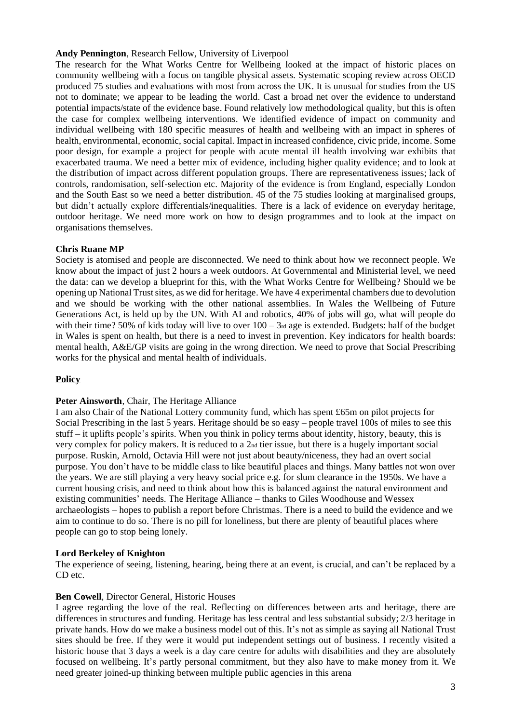### **Andy Pennington**, Research Fellow, University of Liverpool

The research for the What Works Centre for Wellbeing looked at the impact of historic places on community wellbeing with a focus on tangible physical assets. Systematic scoping review across OECD produced 75 studies and evaluations with most from across the UK. It is unusual for studies from the US not to dominate; we appear to be leading the world. Cast a broad net over the evidence to understand potential impacts/state of the evidence base. Found relatively low methodological quality, but this is often the case for complex wellbeing interventions. We identified evidence of impact on community and individual wellbeing with 180 specific measures of health and wellbeing with an impact in spheres of health, environmental, economic, social capital. Impact in increased confidence, civic pride, income. Some poor design, for example a project for people with acute mental ill health involving war exhibits that exacerbated trauma. We need a better mix of evidence, including higher quality evidence; and to look at the distribution of impact across different population groups. There are representativeness issues; lack of controls, randomisation, self-selection etc. Majority of the evidence is from England, especially London and the South East so we need a better distribution. 45 of the 75 studies looking at marginalised groups, but didn't actually explore differentials/inequalities. There is a lack of evidence on everyday heritage, outdoor heritage. We need more work on how to design programmes and to look at the impact on organisations themselves.

### **Chris Ruane MP**

Society is atomised and people are disconnected. We need to think about how we reconnect people. We know about the impact of just 2 hours a week outdoors. At Governmental and Ministerial level, we need the data: can we develop a blueprint for this, with the What Works Centre for Wellbeing? Should we be opening up National Trust sites, as we did for heritage. We have 4 experimental chambers due to devolution and we should be working with the other national assemblies. In Wales the Wellbeing of Future Generations Act, is held up by the UN. With AI and robotics, 40% of jobs will go, what will people do with their time? 50% of kids today will live to over  $100 - 3<sub>rd</sub>$  age is extended. Budgets: half of the budget in Wales is spent on health, but there is a need to invest in prevention. Key indicators for health boards: mental health, A&E/GP visits are going in the wrong direction. We need to prove that Social Prescribing works for the physical and mental health of individuals.

## **Policy**

### **Peter Ainsworth**, Chair, The Heritage Alliance

I am also Chair of the National Lottery community fund, which has spent £65m on pilot projects for Social Prescribing in the last 5 years. Heritage should be so easy – people travel 100s of miles to see this stuff – it uplifts people's spirits. When you think in policy terms about identity, history, beauty, this is very complex for policy makers. It is reduced to a 2nd tier issue, but there is a hugely important social purpose. Ruskin, Arnold, Octavia Hill were not just about beauty/niceness, they had an overt social purpose. You don't have to be middle class to like beautiful places and things. Many battles not won over the years. We are still playing a very heavy social price e.g. for slum clearance in the 1950s. We have a current housing crisis, and need to think about how this is balanced against the natural environment and existing communities' needs. The Heritage Alliance – thanks to Giles Woodhouse and Wessex archaeologists – hopes to publish a report before Christmas. There is a need to build the evidence and we aim to continue to do so. There is no pill for loneliness, but there are plenty of beautiful places where people can go to stop being lonely.

#### **Lord Berkeley of Knighton**

The experience of seeing, listening, hearing, being there at an event, is crucial, and can't be replaced by a CD etc.

#### **Ben Cowell**, Director General, Historic Houses

I agree regarding the love of the real. Reflecting on differences between arts and heritage, there are differences in structures and funding. Heritage has less central and less substantial subsidy; 2/3 heritage in private hands. How do we make a business model out of this. It's not as simple as saying all National Trust sites should be free. If they were it would put independent settings out of business. I recently visited a historic house that 3 days a week is a day care centre for adults with disabilities and they are absolutely focused on wellbeing. It's partly personal commitment, but they also have to make money from it. We need greater joined-up thinking between multiple public agencies in this arena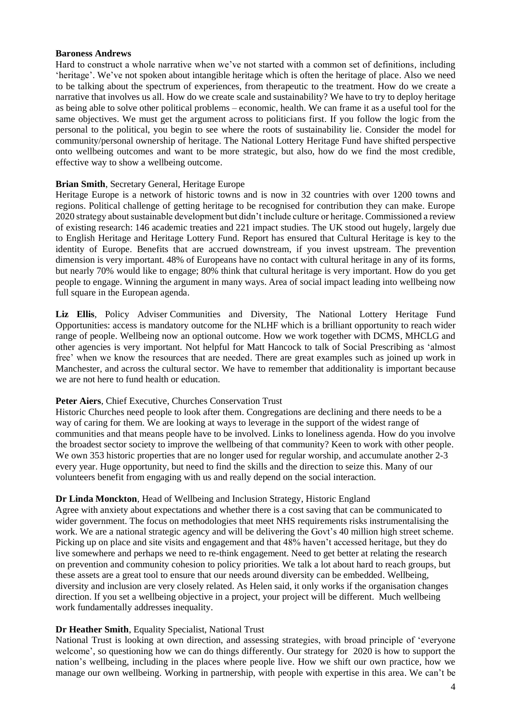#### **Baroness Andrews**

Hard to construct a whole narrative when we've not started with a common set of definitions, including 'heritage'. We've not spoken about intangible heritage which is often the heritage of place. Also we need to be talking about the spectrum of experiences, from therapeutic to the treatment. How do we create a narrative that involves us all. How do we create scale and sustainability? We have to try to deploy heritage as being able to solve other political problems – economic, health. We can frame it as a useful tool for the same objectives. We must get the argument across to politicians first. If you follow the logic from the personal to the political, you begin to see where the roots of sustainability lie. Consider the model for community/personal ownership of heritage. The National Lottery Heritage Fund have shifted perspective onto wellbeing outcomes and want to be more strategic, but also, how do we find the most credible, effective way to show a wellbeing outcome.

#### **Brian Smith**, Secretary General, Heritage Europe

Heritage Europe is a network of historic towns and is now in 32 countries with over 1200 towns and regions. Political challenge of getting heritage to be recognised for contribution they can make. Europe 2020 strategy about sustainable development but didn't include culture or heritage. Commissioned a review of existing research: 146 academic treaties and 221 impact studies. The UK stood out hugely, largely due to English Heritage and Heritage Lottery Fund. Report has ensured that Cultural Heritage is key to the identity of Europe. Benefits that are accrued downstream, if you invest upstream. The prevention dimension is very important. 48% of Europeans have no contact with cultural heritage in any of its forms, but nearly 70% would like to engage; 80% think that cultural heritage is very important. How do you get people to engage. Winning the argument in many ways. Area of social impact leading into wellbeing now full square in the European agenda.

**Liz Ellis**, Policy Adviser Communities and Diversity, The National Lottery Heritage Fund Opportunities: access is mandatory outcome for the NLHF which is a brilliant opportunity to reach wider range of people. Wellbeing now an optional outcome. How we work together with DCMS, MHCLG and other agencies is very important. Not helpful for Matt Hancock to talk of Social Prescribing as 'almost free' when we know the resources that are needed. There are great examples such as joined up work in Manchester, and across the cultural sector. We have to remember that additionality is important because we are not here to fund health or education.

### **Peter Aiers**, Chief Executive, Churches Conservation Trust

Historic Churches need people to look after them. Congregations are declining and there needs to be a way of caring for them. We are looking at ways to leverage in the support of the widest range of communities and that means people have to be involved. Links to loneliness agenda. How do you involve the broadest sector society to improve the wellbeing of that community? Keen to work with other people. We own 353 historic properties that are no longer used for regular worship, and accumulate another 2-3 every year. Huge opportunity, but need to find the skills and the direction to seize this. Many of our volunteers benefit from engaging with us and really depend on the social interaction.

#### **Dr Linda Monckton**, Head of Wellbeing and Inclusion Strategy, Historic England

Agree with anxiety about expectations and whether there is a cost saving that can be communicated to wider government. The focus on methodologies that meet NHS requirements risks instrumentalising the work. We are a national strategic agency and will be delivering the Govt's 40 million high street scheme. Picking up on place and site visits and engagement and that 48% haven't accessed heritage, but they do live somewhere and perhaps we need to re-think engagement. Need to get better at relating the research on prevention and community cohesion to policy priorities. We talk a lot about hard to reach groups, but these assets are a great tool to ensure that our needs around diversity can be embedded. Wellbeing, diversity and inclusion are very closely related. As Helen said, it only works if the organisation changes direction. If you set a wellbeing objective in a project, your project will be different. Much wellbeing work fundamentally addresses inequality.

#### **Dr Heather Smith**, Equality Specialist, National Trust

National Trust is looking at own direction, and assessing strategies, with broad principle of 'everyone welcome', so questioning how we can do things differently. Our strategy for 2020 is how to support the nation's wellbeing, including in the places where people live. How we shift our own practice, how we manage our own wellbeing. Working in partnership, with people with expertise in this area. We can't be